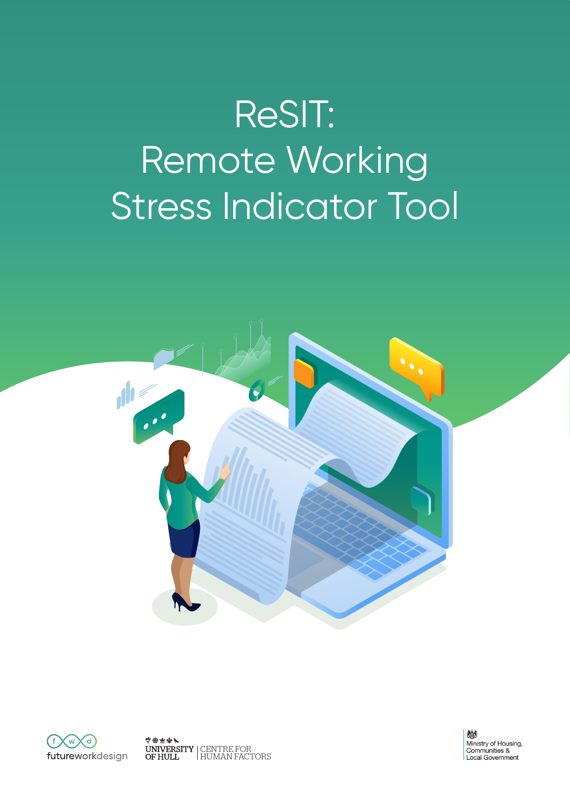# ReSIT: Remote Working Stress Indicator Tool





中国主义人 CENTRE FOR HUMAN FACTORS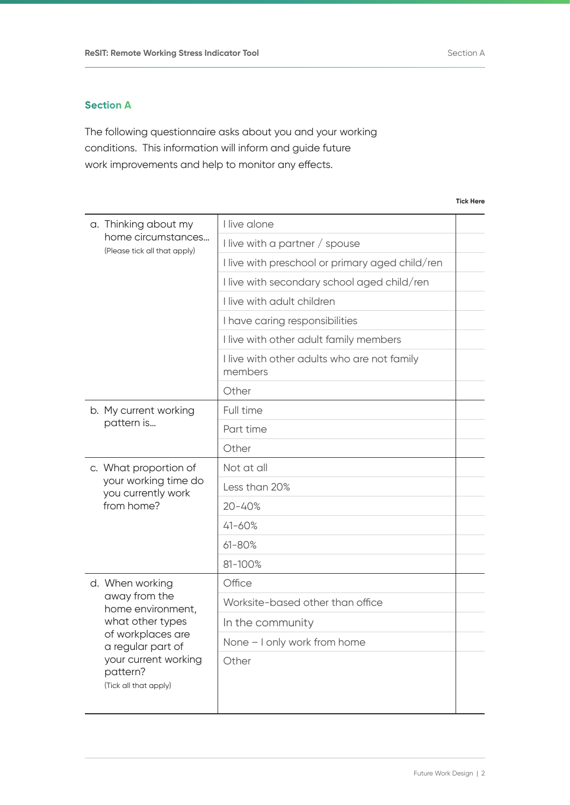## **Section A**

The following questionnaire asks about you and your working conditions. This information will inform and guide future work improvements and help to monitor any effects.

**Tick Here**

| a. Thinking about my                                      | I live alone                                           |  |  |
|-----------------------------------------------------------|--------------------------------------------------------|--|--|
| home circumstances<br>(Please tick all that apply)        | I live with a partner / spouse                         |  |  |
|                                                           | I live with preschool or primary aged child/ren        |  |  |
|                                                           | I live with secondary school aged child/ren            |  |  |
|                                                           | I live with adult children                             |  |  |
|                                                           | I have caring responsibilities                         |  |  |
|                                                           | I live with other adult family members                 |  |  |
|                                                           | I live with other adults who are not family<br>members |  |  |
|                                                           | Other                                                  |  |  |
| b. My current working                                     | Full time                                              |  |  |
| pattern is                                                | Part time                                              |  |  |
|                                                           | Other                                                  |  |  |
| c. What proportion of                                     | Not at all                                             |  |  |
| your working time do<br>you currently work                | Less than 20%                                          |  |  |
| from home?                                                | $20 - 40%$                                             |  |  |
|                                                           | $41 - 60%$                                             |  |  |
|                                                           | $61 - 80%$                                             |  |  |
|                                                           | 81-100%                                                |  |  |
| d. When working                                           | Office                                                 |  |  |
| away from the<br>home environment,                        | Worksite-based other than office                       |  |  |
| what other types                                          | In the community                                       |  |  |
| of workplaces are<br>a regular part of                    | None - I only work from home                           |  |  |
| your current working<br>pattern?<br>(Tick all that apply) | Other                                                  |  |  |

Future Work Design | 2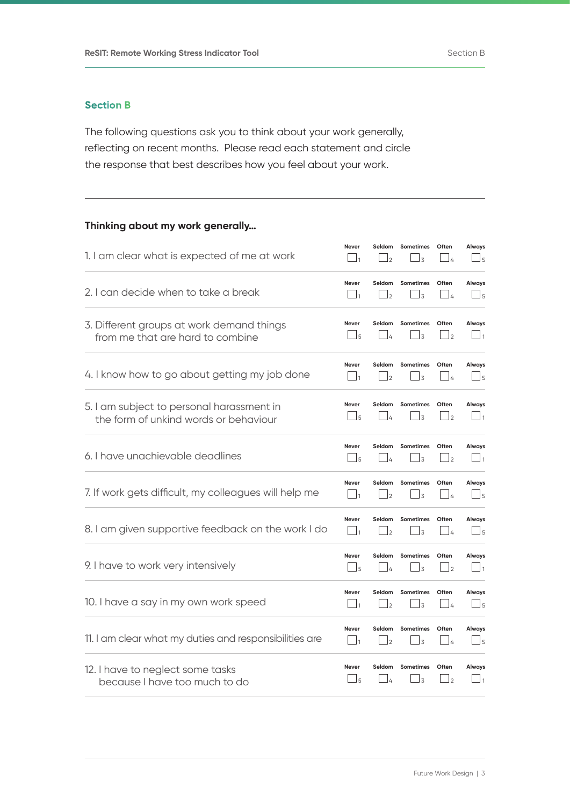## **Section B**

The following questions ask you to think about your work generally, reflecting on recent months. Please read each statement and circle the response that best describes how you feel about your work.

## **Thinking about my work generally…**

| 1. I am clear what is expected of me at work           | <b>Never</b>           | Seldom          | <b>Sometimes</b>         | Often            | Always              |
|--------------------------------------------------------|------------------------|-----------------|--------------------------|------------------|---------------------|
|                                                        | $\vert$ 1              | $\vert$         | $\overline{3}$           | $\frac{1}{4}$    | $\Box$ <sub>5</sub> |
| 2. I can decide when to take a break                   | Never                  | Seldom          | <b>Sometimes</b>         | Often            | Always              |
|                                                        | $\vert \,\,\, \vert_1$ | $\Box$ 2        | $\perp$ 3                | $\Box$           | $\Box$ 5            |
| 3. Different groups at work demand things              | <b>Never</b>           | Seldom          | <b>Sometimes</b>         | Often            | Always              |
| from me that are hard to combine                       | $\Box$ 5               | $\frac{1}{4}$   | $\overline{3}$           | $\vert$ 2        | $\Box_1$            |
| 4. I know how to go about getting my job done          | Never                  | Seldom          | <b>Sometimes</b>         | Often            | Always              |
|                                                        | $\vert$ 1              | $\overline{2}$  | 3                        | $\overline{4}$   | $\Box$ <sub>5</sub> |
| 5. I am subject to personal harassment in              | Never                  | Seldom          | <b>Sometimes</b>         | Often            | Always              |
| the form of unkind words or behaviour                  | $\Box$ 5               | $\frac{1}{4}$   | $\overline{3}$           | $\mathsf{I}_{2}$ | $\vert$ 1           |
| 6. I have unachievable deadlines                       | <b>Never</b>           | Seldom          | <b>Sometimes</b>         | Often            | Always              |
|                                                        | $\perp$ 5              | ۱4              | 3                        | $\vert$ 2        | $\mathbf{u}_1$      |
| 7. If work gets difficult, my colleagues will help me  | <b>Never</b>           | Seldom          | <b>Sometimes</b>         | Often            | Always              |
|                                                        | $\vert$ 1              | $\overline{12}$ | $\overline{3}$           | $\perp$          | $\Box$ <sub>5</sub> |
| 8. I am given supportive feedback on the work I do     | <b>Never</b>           | Seldom          | <b>Sometimes</b>         | Often            | Always              |
|                                                        | $\vert$ 1              | $\mathsf{I}_2$  | 3                        | $\perp$          | $\Box$              |
| 9. I have to work very intensively                     | Never                  | Seldom          | <b>Sometimes</b>         | Often            | Always              |
|                                                        | $\frac{1}{5}$          | $\Delta$        | 3                        | $\vert$ 2        | $\vert$ 1           |
| 10. I have a say in my own work speed                  | <b>Never</b>           | Seldom          | <b>Sometimes</b>         | Often            | Always              |
|                                                        | $\mathbf{1}_{1}$       | 2               | 3                        | $\frac{1}{4}$    | $\Box$ <sub>5</sub> |
| 11. I am clear what my duties and responsibilities are | Never                  | Seldom          | <b>Sometimes</b>         | Often            | Always              |
|                                                        | $\vert$ 1              | 2               | $\overline{\mathcal{L}}$ | $\Delta$         | $\Box$ 5            |
| 12. I have to neglect some tasks                       | Never                  | Seldom          | <b>Sometimes</b>         | Often            | Always              |
| because I have too much to do                          | $\Box$ 5               | LΔ              | 3                        | $\perp$          | $\vert$ 1           |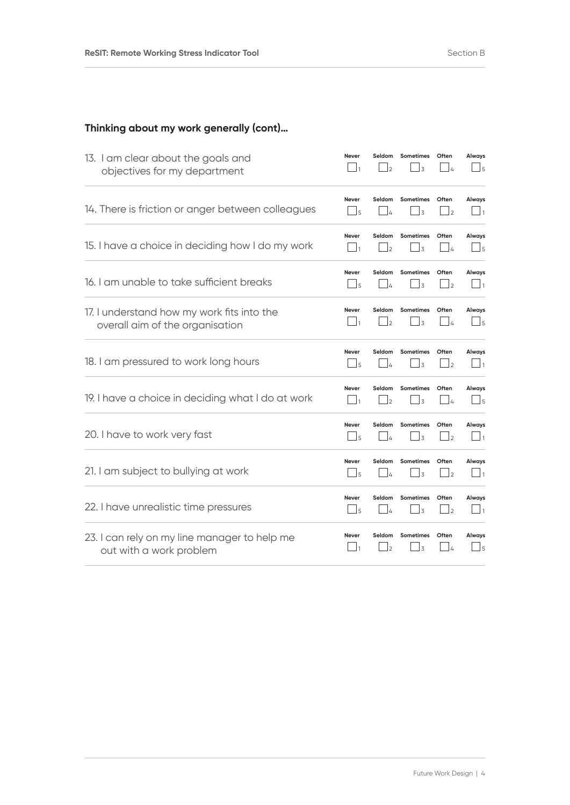# **Thinking about my work generally (cont)…**

| 13. I am clear about the goals and                | Never               | Seldom         | <b>Sometimes</b> | Often           | Always              |
|---------------------------------------------------|---------------------|----------------|------------------|-----------------|---------------------|
| objectives for my department                      | $\vert$ 1           | $\overline{z}$ | $\overline{3}$   | $\overline{A}$  | $\Box$              |
| 14. There is friction or anger between colleagues | Never               | Seldom         | <b>Sometimes</b> | Often           | Always              |
|                                                   | $\Box$ <sub>5</sub> | l 4            | $\overline{3}$   | $\overline{12}$ | $\Box$ 1            |
| 15. I have a choice in deciding how I do my work  | <b>Never</b>        | Seldom         | <b>Sometimes</b> | Often           | Always              |
|                                                   | $\vert$ 1           | $\overline{2}$ | $\overline{3}$   | 14              | $\Box$ 5            |
| 16. I am unable to take sufficient breaks         | Never               | Seldom         | <b>Sometimes</b> | Often           | Always              |
|                                                   | $\vert$ 5           | $\overline{a}$ | $\overline{3}$   | $\vert$ 2       | $\vert$ 1           |
| 17. I understand how my work fits into the        | <b>Never</b>        | Seldom         | <b>Sometimes</b> | Often           | Always              |
| overall aim of the organisation                   | $\vert$ 1           | l2             | $\overline{3}$   | $\frac{1}{4}$   | $\Box$ <sub>5</sub> |
| 18. I am pressured to work long hours             | Never               | Seldom         | <b>Sometimes</b> | Often           | Always              |
|                                                   | $\Box$              | ۱4             | $\overline{3}$   | $\vert$ 2       | $\mathbf{\perp}$ 1  |
| 19. I have a choice in deciding what I do at work | <b>Never</b>        | Seldom         | <b>Sometimes</b> | Often           | Always              |
|                                                   | $\Box$              | l2             | $\overline{3}$   | $\perp$         | $\Box$ <sub>5</sub> |
| 20. I have to work very fast                      | <b>Never</b>        | Seldom         | <b>Sometimes</b> | Often           | Always              |
|                                                   | $\Box$ <sub>5</sub> | $\overline{a}$ | 3                | $\mathsf{I}_2$  | $\mathbf{I}_1$      |
| 21. I am subject to bullying at work              | Never               | Seldom         | <b>Sometimes</b> | Often           | Always              |
|                                                   | $\frac{1}{5}$       | ۱4             | $\overline{3}$   | $\vert$ 2       | $\vert$ 1           |
| 22. I have unrealistic time pressures             | <b>Never</b>        | Seldom         | <b>Sometimes</b> | Often           | Always              |
|                                                   | $\Box$ 5            | $\overline{4}$ | J3               | $\mathsf{I}_2$  | $\Box$ 1            |
| 23. I can rely on my line manager to help me      | <b>Never</b>        | Seldom         | <b>Sometimes</b> | Often           | Always              |
| out with a work problem                           | $\Box$ 1            | $\overline{2}$ | $\overline{3}$   | $\perp$         | $\Box$ 5            |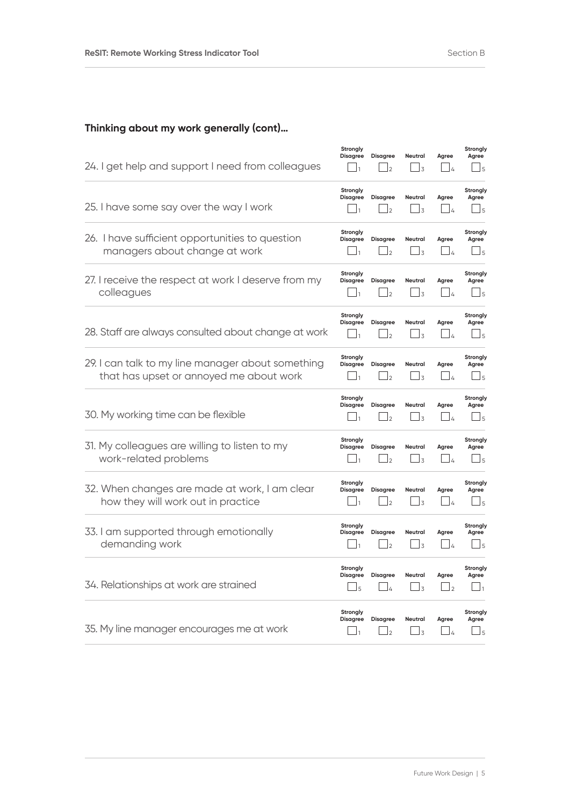# **Thinking about my work generally (cont)…**

| 24. I get help and support I need from colleagues                                            | Strongly<br><b>Disagree</b>                   | <b>Disagree</b><br>$\mathbf{1}_{2}$ | Neutral<br>$\perp$ 3                      | Agree<br>$\perp$                    | Strongly<br>Agree<br>$\perp$ 5                         |
|----------------------------------------------------------------------------------------------|-----------------------------------------------|-------------------------------------|-------------------------------------------|-------------------------------------|--------------------------------------------------------|
| 25. I have some say over the way I work                                                      | Strongly<br><b>Disagree</b>                   | Disagree<br>$\vert$ <sub>2</sub>    | Neutral<br>$\overline{3}$                 | Agree<br>$-4$                       | Strongly<br>Agree<br>$\Box$                            |
| 26. I have sufficient opportunities to question<br>managers about change at work             | Strongly<br><b>Disagree</b><br>$\vert$ 1      | <b>Disagree</b><br>$\frac{1}{2}$    | Neutral<br>$\frac{1}{3}$                  | Agree<br>$\frac{1}{4}$              | Strongly<br>Agree<br>$\sqcup$ 5                        |
| 27. I receive the respect at work I deserve from my<br>colleagues                            | Strongly<br><b>Disagree</b><br>$\perp$        | <b>Disagree</b><br>$\vert$ 2        | <b>Neutral</b><br>$\frac{1}{3}$           | Agree<br>$\frac{1}{4}$              | Strongly<br>Agree<br>$\perp$ 5                         |
| 28. Staff are always consulted about change at work                                          | Strongly<br><b>Disagree</b><br>$\overline{1}$ | <b>Disagree</b><br>$\overline{2}$   | Neutral<br>$\frac{1}{3}$                  | Agree<br>$\Delta$                   | Strongly<br>Agree<br>15                                |
| 29. I can talk to my line manager about something<br>that has upset or annoyed me about work | Strongly<br><b>Disagree</b>                   | <b>Disagree</b><br>$\vert$ 2        | Neutral<br>$\frac{1}{3}$                  | Agree<br>$\frac{1}{4}$              | Strongly<br>Agree<br>$\mathsf{J}_5$                    |
| 30. My working time can be flexible                                                          | Strongly<br><b>Disagree</b><br>$\overline{1}$ | Disagree<br>$\vert$ 2               | <b>Neutral</b><br>$\overline{\mathsf{1}}$ | Agree<br>$\Box$                     | Strongly<br>Agree<br>$\perp$ 5                         |
| 31. My colleagues are willing to listen to my<br>work-related problems                       | Strongly<br><b>Disagree</b>                   | <b>Disagree</b><br>$\mathbf{z}$     | Neutral<br>$\perp$ 3                      | Agree<br>$\frac{1}{4}$              | Strongly<br>Agree<br>J5                                |
| 32. When changes are made at work, I am clear<br>how they will work out in practice          | Strongly<br><b>Disagree</b>                   | <b>Disagree</b><br>$\mathsf{I}_2$   | Neutral<br>$\overline{\phantom{a}}$ 3     | Agree<br>$\overline{\phantom{0}}$ 4 | Strongly<br>Agree<br>$\sqcup$ 5                        |
| 33. I am supported through emotionally<br>demanding work                                     | Strongly<br><b>Disagree</b><br>$\mathsf{L}$   | <b>Disagree</b><br>$\mathsf{I}_2$   | <b>Neutral</b><br>J3                      | Agree<br>$\frac{1}{4}$              | Strongly<br>Agree<br>J5                                |
| 34. Relationships at work are strained                                                       | Strongly<br><b>Disagree</b><br>l 5            | <b>Disagree</b><br>$\frac{1}{4}$    | <b>Neutral</b><br>$\frac{1}{3}$           | Agree<br>$\vert$ <sub>2</sub>       | Strongly<br>Agree<br>$\vert$ 1                         |
| 35. My line manager encourages me at work                                                    | Strongly<br><b>Disagree</b><br>」1             | <b>Disagree</b><br>J2               | Neutral<br>$\perp$ 3                      | Agree<br>$\perp$                    | Strongly<br>Agree<br>$\mathsf{\overline{\mathsf{1}}5}$ |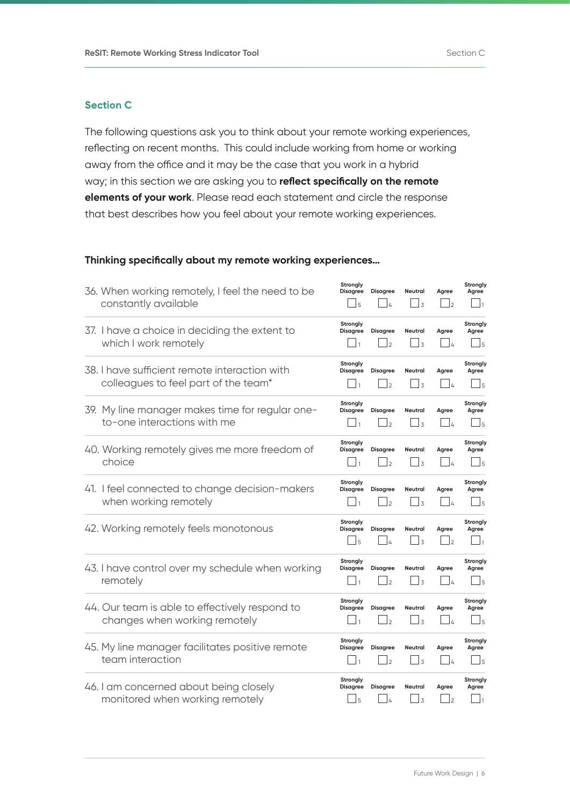### **Section C**

The following questions ask you to think about your remote working experiences, reflecting on recent months. This could include working from home or working away from the office and it may be the case that you work in a hybrid way; in this section we are asking you to **reflect specifically on the remote elements of your work**. Please read each statement and circle the response that best describes how you feel about your remote working experiences.

#### **Thinking specifically about my remote working experiences…**

| 36. When working remotely, I feel the need to be<br>constantly available              | Strongly<br><b>Disagree</b><br>J 5            | <b>Disagree</b><br>$\overline{4}$ | Neutral<br>J3                   | Agree<br>$\overline{2}$             | Strongly<br>Agree<br>$\frac{1}{1}$              |
|---------------------------------------------------------------------------------------|-----------------------------------------------|-----------------------------------|---------------------------------|-------------------------------------|-------------------------------------------------|
| 37. I have a choice in deciding the extent to<br>which I work remotely                | Strongly<br><b>Disagree</b><br>$\mathbf{1}$   | <b>Disagree</b><br>$\overline{2}$ | Neutral<br>$\perp$ 3            | Agree<br>⊥ /∡                       | Strongly<br>Agree<br>$\perp$                    |
| 38. I have sufficient remote interaction with<br>colleagues to feel part of the team* | Strongly<br><b>Disagree</b><br>$\mathbf{1}$   | <b>Disagree</b><br>$\overline{2}$ | Neutral<br>$\Box$ 3             | Agree<br>l 4                        | Strongly<br>Agree<br>$\Box$                     |
| 39. My line manager makes time for regular one-<br>to-one interactions with me        | Strongly<br><b>Disagree</b><br>$\overline{1}$ | <b>Disagree</b><br>$\overline{2}$ | <b>Neutral</b><br>$\perp$ 3     | Agree<br>l 4                        | Strongly<br>Agree<br>$\mathsf{J}5$              |
| 40. Working remotely gives me more freedom of<br>choice                               | Strongly<br><b>Disagree</b><br>$\overline{1}$ | <b>Disagree</b><br>$\overline{2}$ | Neutral<br>_l 3                 | Agree<br>$\overline{4}$             | Strongly<br>Agree<br>J 5                        |
| 41. I feel connected to change decision-makers<br>when working remotely               | Strongly<br><b>Disagree</b><br>$\vert$ 1      | <b>Disagree</b><br>$\overline{2}$ | <b>Neutral</b><br>$\frac{1}{3}$ | Agree<br>$\frac{1}{4}$              | Strongly<br>Agree<br>$\overline{\phantom{0}}$ 5 |
| 42. Working remotely feels monotonous                                                 | Strongly<br><b>Disagree</b><br>$\mathsf{J}_5$ | <b>Disagree</b><br>$\overline{4}$ | Neutral<br>$\frac{1}{3}$        | Agree<br>$\sqcup$ <sub>2</sub>      | Strongly<br>Agree<br>$\mathbf{1}$               |
| 43. I have control over my schedule when working<br>remotely                          | Strongly<br><b>Disagree</b><br>$\mathbf{1}$   | <b>Disagree</b><br>$\overline{2}$ | <b>Neutral</b><br>$\frac{1}{3}$ | Agree<br>$\frac{1}{4}$              | Strongly<br>Agree<br>$\perp$ 5                  |
| 44. Our team is able to effectively respond to<br>changes when working remotely       | Strongly<br><b>Disagree</b><br>$\mathbf{1}$   | <b>Disagree</b><br>$\overline{2}$ | Neutral<br><u>J</u> 3           | Agree<br>$\overline{\phantom{0}}$ 4 | Strongly<br>Agree<br>$\sqcup$ 5                 |
| 45. My line manager facilitates positive remote<br>team interaction                   | Strongly<br><b>Disagree</b><br>$\mathbf{1}$   | <b>Disagree</b><br>$\overline{2}$ | <b>Neutral</b><br>$\perp$ 3     | Agree<br>$\frac{1}{4}$              | Strongly<br>Agree<br>$\overline{\phantom{0}}$ 5 |
| 46. I am concerned about being closely<br>monitored when working remotely             | Strongly<br><b>Disagree</b><br>J5             | <b>Disagree</b><br>$\overline{4}$ | Neutral<br>$\sqcup$ 3           | Agree<br>$\overline{2}$             | Strongly<br>Agree<br>$\Box$                     |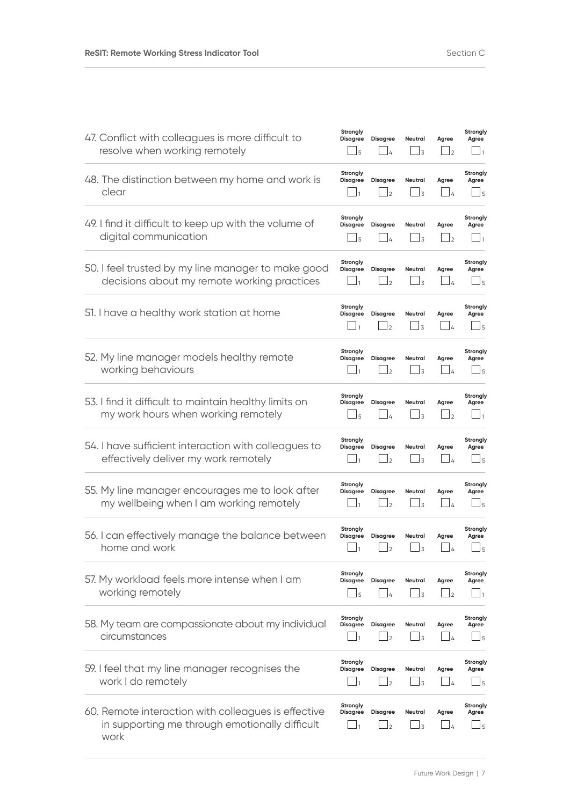| 47. Conflict with colleagues is more difficult to<br>resolve when working remotely                            | Strongly<br><b>Disagree</b><br>J5               | <b>Disagree</b><br>$\perp$        | Neutral<br>_l 3                       | Agree<br>$\perp$        | Strongly<br>Agree<br>$\Box$ 1                 |
|---------------------------------------------------------------------------------------------------------------|-------------------------------------------------|-----------------------------------|---------------------------------------|-------------------------|-----------------------------------------------|
| 48. The distinction between my home and work is<br>clear                                                      | Strongly<br><b>Disagree</b>                     | <b>Disagree</b><br>$\overline{2}$ | Neutral<br>$\frac{1}{3}$              | Agree<br>$\frac{1}{4}$  | Strongly<br>Agree<br>$\Box$ <sub>5</sub>      |
| 49. I find it difficult to keep up with the volume of<br>digital communication                                | Strongly<br><b>Disagree</b><br>$\Box$ 5         | <b>Disagree</b><br>$\overline{a}$ | Neutral<br>$\Box$ 3                   | Agree<br>$\vert$        | Strongly<br>Agree<br>$\vert$ 1                |
| 50. I feel trusted by my line manager to make good<br>decisions about my remote working practices             | Strongly<br><b>Disagree</b><br>$\vert$ 1        | <b>Disagree</b><br>$\overline{2}$ | Neutral<br>$\perp$ 3                  | Agree<br>$\frac{1}{4}$  | Strongly<br>Agree<br>$\Box$ 5                 |
| 51. I have a healthy work station at home                                                                     | Strongly<br><b>Disagree</b><br>$\mathbf{1}_{1}$ | <b>Disagree</b><br>$\mathsf{I}_2$ | Neutral<br>$\Box$ 3                   | Agree<br>$\Box$         | Strongly<br>Agree<br>$\perp$                  |
| 52. My line manager models healthy remote<br>working behaviours                                               | Strongly<br><b>Disagree</b>                     | <b>Disagree</b><br>$\overline{2}$ | Neutral<br>$\perp$ 3                  | Agree<br>l 4            | Strongly<br>Agree<br>$\Box$ <sub>5</sub>      |
| 53. I find it difficult to maintain healthy limits on<br>my work hours when working remotely                  | Strongly<br><b>Disagree</b><br>J5               | <b>Disagree</b><br>$\frac{1}{4}$  | Neutral<br>$\perp$ 3                  | Agree<br>$\perp$        | Strongly<br>Agree<br>$\mathbf{u}_1$           |
| 54. I have sufficient interaction with colleagues to<br>effectively deliver my work remotely                  | Strongly<br><b>Disagree</b><br>$\Box$ 1         | <b>Disagree</b><br>$\overline{2}$ | <b>Neutral</b><br>$\Box$ 3            | Agree<br>$\frac{1}{4}$  | Strongly<br>Agree<br>$\Box$ 5                 |
| 55. My line manager encourages me to look after<br>my wellbeing when I am working remotely                    | Strongly<br><b>Disagree</b>                     | <b>Disagree</b><br>$\overline{2}$ | Neutral<br>_l 3                       | Agree<br>14             | Strongly<br>Agree<br>$\mathsf{\underline{J}}$ |
| 56. I can effectively manage the balance between<br>home and work                                             | Strongly<br><b>Disagree</b><br>$\Box$ 1         | <b>Disagree</b><br>$\overline{2}$ | Neutral<br>$\Box$ 3                   | Agree<br>$\frac{1}{4}$  | Strongly<br>Agree<br>$\Box$ <sub>5</sub>      |
| 57. My workload feels more intense when I am<br>working remotely                                              | Strongly<br><b>Disagree</b><br>5                | <b>Disagree</b><br>$\Delta$       | Neutral<br>$\perp$ 3                  | Agree<br>$\mathsf{I}_2$ | Strongly<br>Agree<br>-11                      |
| 58. My team are compassionate about my individual<br>circumstances                                            | Strongly<br><b>Disagree</b>                     | <b>Disagree</b><br>$\overline{2}$ | Neutral<br>$\overline{\phantom{0}}$ 3 | Agree<br>$\frac{1}{4}$  | Strongly<br>Agree<br>$\sqcup$ 5               |
| 59. I feel that my line manager recognises the<br>work I do remotely                                          | Strongly<br><b>Disagree</b>                     | <b>Disagree</b><br>$\overline{2}$ | Neutral<br>$\mathsf{\underline{J}}$   | Agree<br>$\perp$        | Strongly<br>Agree<br>$\sqcup$ 5               |
| 60. Remote interaction with colleagues is effective<br>in supporting me through emotionally difficult<br>work | Strongly<br><b>Disagree</b>                     | <b>Disagree</b><br>$\Box$ 2       | Neutral<br>$\perp$ 3                  | Agree<br>$\frac{1}{4}$  | Strongly<br>Agree<br>_l 5                     |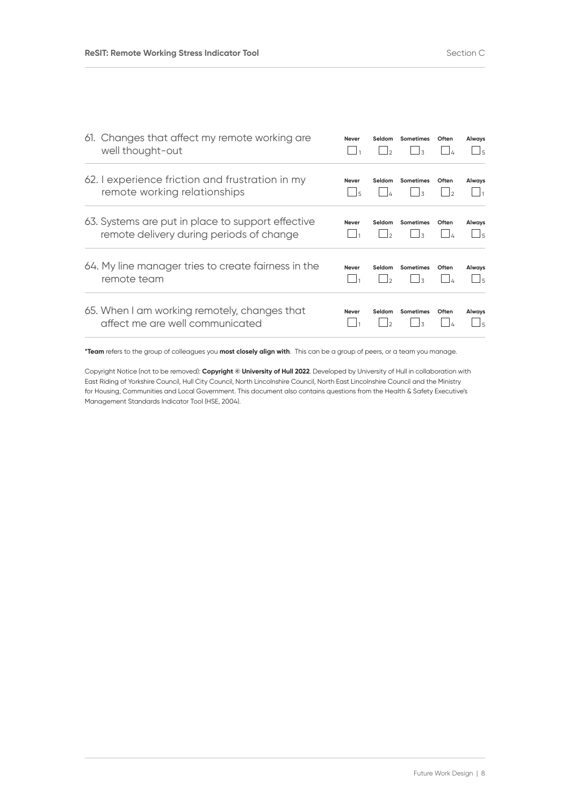| 61. Changes that affect my remote working are<br>well thought-out                             | Never                    | Seldom<br>$\overline{2}$ | <b>Sometimes</b><br>$\overline{\mathbf{z}}$ | Often | Always<br>$\frac{1}{5}$       |
|-----------------------------------------------------------------------------------------------|--------------------------|--------------------------|---------------------------------------------|-------|-------------------------------|
| 62. Lexperience friction and frustration in my<br>remote working relationships                | <b>Never</b><br>$\Box$ 5 | Seldom                   | Sometimes                                   | Often | Always<br>$\mathbf{1}_{1}$    |
| 63. Systems are put in place to support effective<br>remote delivery during periods of change | <b>Never</b>             | Seldom<br>$\vert$        | <b>Sometimes</b><br>$\overline{\mathbf{z}}$ | Often | Always<br>$\Box$ <sub>5</sub> |
| 64. My line manager tries to create fairness in the<br>remote team                            | <b>Never</b>             | Seldom<br>$\mathsf{L}$   | Sometimes<br>$\overline{\mathbf{z}}$        | Often | Always<br>- 15                |
| 65. When I am working remotely, changes that<br>affect me are well communicated               | <b>Never</b>             | Seldom<br>$\mathcal{L}$  | <b>Sometimes</b><br>$\overline{\mathbf{z}}$ | Often | Always<br>$\frac{1}{5}$       |

**\*Team** refers to the group of colleagues you **most closely align with**. This can be a group of peers, or a team you manage.

Copyright Notice (not to be removed): **Copyright © University of Hull 2022**. Developed by University of Hull in collaboration with East Riding of Yorkshire Council, Hull City Council, North Lincolnshire Council, North East Lincolnshire Council and the Ministry for Housing, Communities and Local Government. This document also contains questions from the Health & Safety Executive's Management Standards Indicator Tool (HSE, 2004).